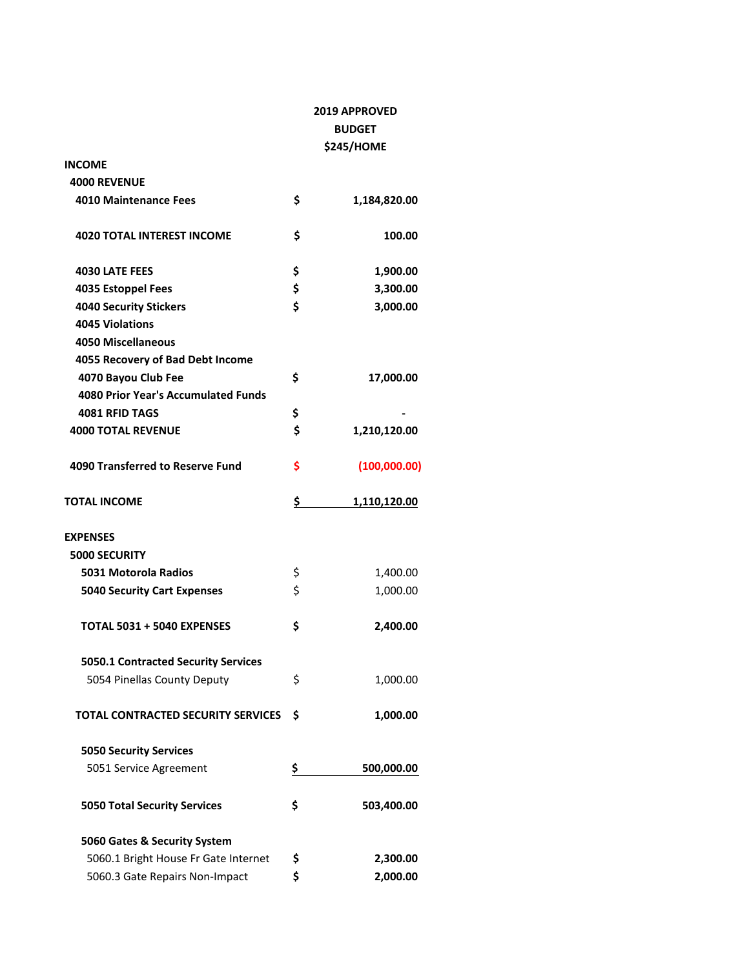|                                            | <b>2019 APPROVED</b><br><b>BUDGET</b> |              |  |
|--------------------------------------------|---------------------------------------|--------------|--|
|                                            |                                       |              |  |
|                                            |                                       | \$245/HOME   |  |
| INCOME                                     |                                       |              |  |
| <b>4000 REVENUE</b>                        |                                       |              |  |
| <b>4010 Maintenance Fees</b>               | \$                                    | 1,184,820.00 |  |
| <b>4020 TOTAL INTEREST INCOME</b>          | \$                                    | 100.00       |  |
| <b>4030 LATE FEES</b>                      | \$                                    | 1,900.00     |  |
| 4035 Estoppel Fees                         | \$                                    | 3,300.00     |  |
| <b>4040 Security Stickers</b>              | \$                                    | 3,000.00     |  |
| <b>4045 Violations</b>                     |                                       |              |  |
| <b>4050 Miscellaneous</b>                  |                                       |              |  |
| 4055 Recovery of Bad Debt Income           |                                       |              |  |
| 4070 Bayou Club Fee                        | \$                                    | 17,000.00    |  |
| <b>4080 Prior Year's Accumulated Funds</b> |                                       |              |  |
| <b>4081 RFID TAGS</b>                      | \$                                    |              |  |
| <b>4000 TOTAL REVENUE</b>                  | \$                                    | 1,210,120.00 |  |
| 4090 Transferred to Reserve Fund           | \$                                    | (100,000.00) |  |
| TOTAL INCOME                               | \$                                    | 1,110,120.00 |  |
| <b>EXPENSES</b>                            |                                       |              |  |
| <b>5000 SECURITY</b>                       |                                       |              |  |
| 5031 Motorola Radios                       | \$                                    | 1,400.00     |  |
| <b>5040 Security Cart Expenses</b>         | \$                                    | 1,000.00     |  |
| TOTAL 5031 + 5040 EXPENSES                 | \$                                    | 2,400.00     |  |
| 5050.1 Contracted Security Services        |                                       |              |  |
| 5054 Pinellas County Deputy                | \$                                    | 1,000.00     |  |
| <b>TOTAL CONTRACTED SECURITY SERVICES</b>  | \$                                    | 1,000.00     |  |
| <b>5050 Security Services</b>              |                                       |              |  |
| 5051 Service Agreement                     | \$                                    | 500,000.00   |  |
| <b>5050 Total Security Services</b>        | \$                                    | 503,400.00   |  |
| 5060 Gates & Security System               |                                       |              |  |
| 5060.1 Bright House Fr Gate Internet       | \$                                    | 2,300.00     |  |
| 5060.3 Gate Repairs Non-Impact             | \$                                    | 2,000.00     |  |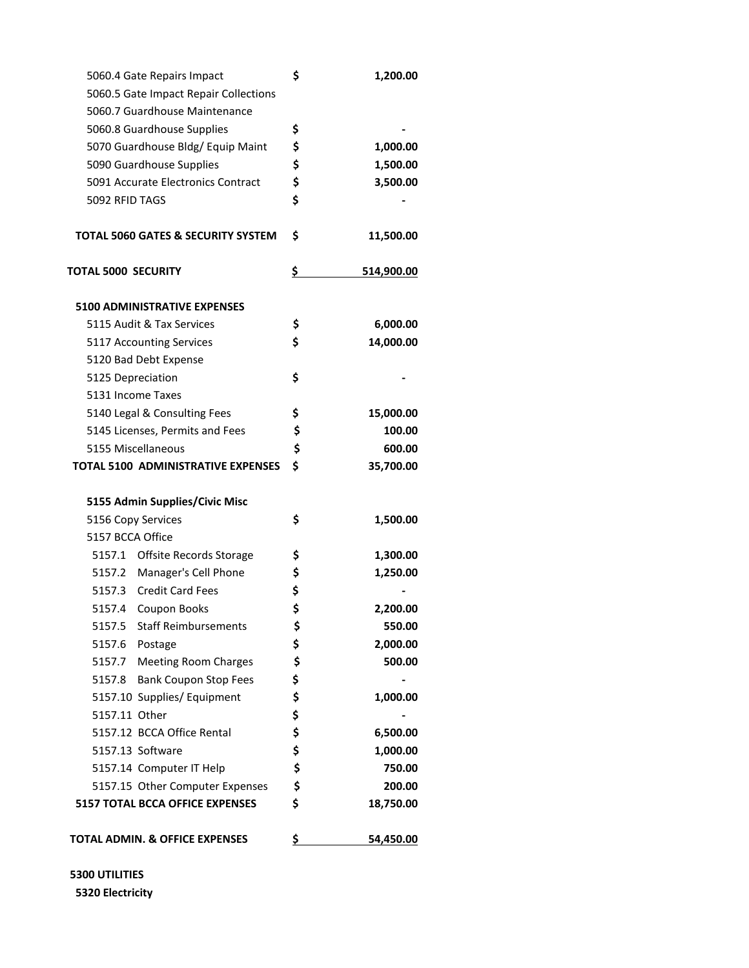| 5060.4 Gate Repairs Impact                | \$<br>1,200.00   |
|-------------------------------------------|------------------|
| 5060.5 Gate Impact Repair Collections     |                  |
| 5060.7 Guardhouse Maintenance             |                  |
| 5060.8 Guardhouse Supplies                | \$               |
| 5070 Guardhouse Bldg/ Equip Maint         | \$<br>1,000.00   |
| 5090 Guardhouse Supplies                  | \$<br>1,500.00   |
| 5091 Accurate Electronics Contract        | \$<br>3,500.00   |
| 5092 RFID TAGS                            | \$               |
| TOTAL 5060 GATES & SECURITY SYSTEM        | \$<br>11,500.00  |
| <b>TOTAL 5000 SECURITY</b>                | \$<br>514,900.00 |
| <b>5100 ADMINISTRATIVE EXPENSES</b>       |                  |
| 5115 Audit & Tax Services                 | \$<br>6,000.00   |
| 5117 Accounting Services                  | \$<br>14,000.00  |
| 5120 Bad Debt Expense                     |                  |
| 5125 Depreciation                         | \$               |
| 5131 Income Taxes                         |                  |
| 5140 Legal & Consulting Fees              | \$<br>15,000.00  |
| 5145 Licenses, Permits and Fees           | \$<br>100.00     |
| 5155 Miscellaneous                        | \$<br>600.00     |
| <b>TOTAL 5100 ADMINISTRATIVE EXPENSES</b> | \$<br>35,700.00  |
| 5155 Admin Supplies/Civic Misc            |                  |
| 5156 Copy Services                        | \$<br>1,500.00   |
| 5157 BCCA Office                          |                  |
| 5157.1 Offsite Records Storage            | \$<br>1,300.00   |
| 5157.2 Manager's Cell Phone               | \$<br>1,250.00   |
| 5157.3 Credit Card Fees                   | \$               |
| 5157.4<br>Coupon Books                    | \$<br>2,200.00   |
| 5157.5 Staff Reimbursements               | \$<br>550.00     |
| 5157.6 Postage                            | \$<br>2,000.00   |
| <b>Meeting Room Charges</b><br>5157.7     | \$<br>500.00     |
| 5157.8 Bank Coupon Stop Fees              | \$               |
| 5157.10 Supplies/ Equipment               | \$<br>1,000.00   |
| 5157.11 Other                             | \$               |
| 5157.12 BCCA Office Rental                | \$<br>6,500.00   |
| 5157.13 Software                          | \$<br>1,000.00   |
| 5157.14 Computer IT Help                  | \$<br>750.00     |
| 5157.15 Other Computer Expenses           | \$<br>200.00     |
| <b>5157 TOTAL BCCA OFFICE EXPENSES</b>    | \$<br>18,750.00  |
| TOTAL ADMIN. & OFFICE EXPENSES            | \$<br>54,450.00  |

 **5300 UTILITIES 5320 Electricity**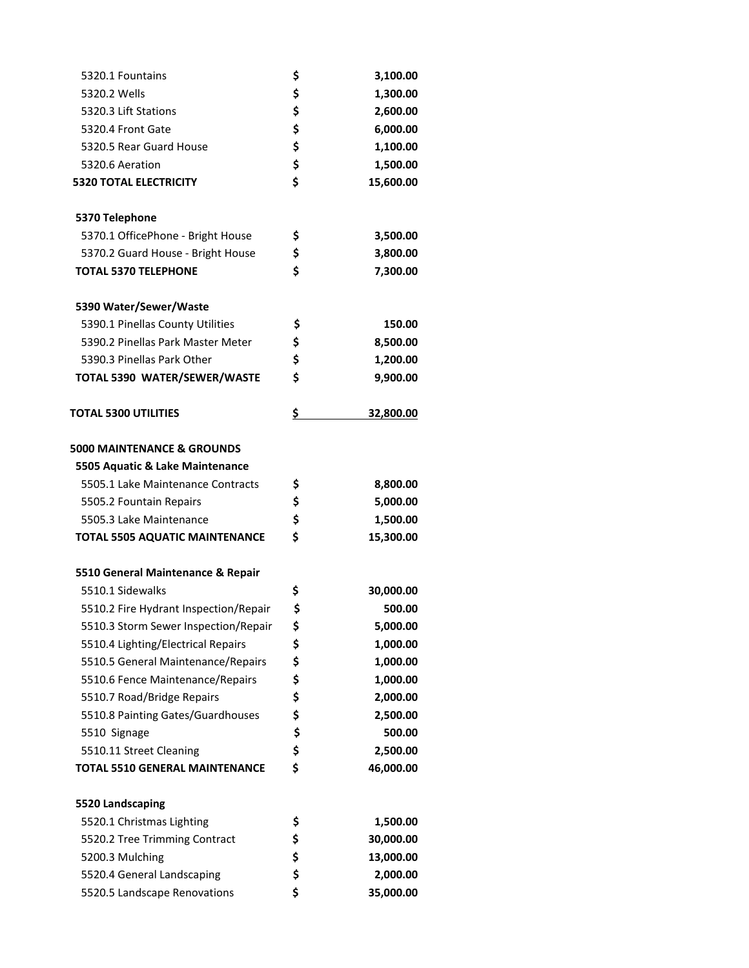| 5320.1 Fountains                      | \$<br>3,100.00  |
|---------------------------------------|-----------------|
| 5320.2 Wells                          | \$<br>1,300.00  |
| 5320.3 Lift Stations                  | \$<br>2,600.00  |
| 5320.4 Front Gate                     | \$<br>6,000.00  |
| 5320.5 Rear Guard House               | \$<br>1,100.00  |
| 5320.6 Aeration                       | \$<br>1,500.00  |
| <b>5320 TOTAL ELECTRICITY</b>         | \$<br>15,600.00 |
| 5370 Telephone                        |                 |
| 5370.1 OfficePhone - Bright House     | \$<br>3,500.00  |
| 5370.2 Guard House - Bright House     | \$<br>3,800.00  |
| <b>TOTAL 5370 TELEPHONE</b>           | \$<br>7,300.00  |
| 5390 Water/Sewer/Waste                |                 |
| 5390.1 Pinellas County Utilities      | \$<br>150.00    |
| 5390.2 Pinellas Park Master Meter     | \$<br>8,500.00  |
| 5390.3 Pinellas Park Other            | \$<br>1,200.00  |
| TOTAL 5390 WATER/SEWER/WASTE          | \$<br>9,900.00  |
| <b>TOTAL 5300 UTILITIES</b>           | \$<br>32,800.00 |
| <b>5000 MAINTENANCE &amp; GROUNDS</b> |                 |
| 5505 Aquatic & Lake Maintenance       |                 |
| 5505.1 Lake Maintenance Contracts     | \$<br>8,800.00  |
| 5505.2 Fountain Repairs               | \$<br>5,000.00  |
| 5505.3 Lake Maintenance               | \$<br>1,500.00  |
| <b>TOTAL 5505 AQUATIC MAINTENANCE</b> | \$<br>15,300.00 |
| 5510 General Maintenance & Repair     |                 |
| 5510.1 Sidewalks                      | \$<br>30,000.00 |
| 5510.2 Fire Hydrant Inspection/Repair | \$<br>500.00    |
| 5510.3 Storm Sewer Inspection/Repair  | \$<br>5,000.00  |
| 5510.4 Lighting/Electrical Repairs    | \$<br>1,000.00  |
| 5510.5 General Maintenance/Repairs    | \$<br>1,000.00  |
| 5510.6 Fence Maintenance/Repairs      | \$<br>1,000.00  |
| 5510.7 Road/Bridge Repairs            | \$<br>2,000.00  |
| 5510.8 Painting Gates/Guardhouses     | \$<br>2,500.00  |
| 5510 Signage                          | \$<br>500.00    |
| 5510.11 Street Cleaning               | \$<br>2,500.00  |
| <b>TOTAL 5510 GENERAL MAINTENANCE</b> | \$<br>46,000.00 |
| 5520 Landscaping                      |                 |
| 5520.1 Christmas Lighting             | \$<br>1,500.00  |
| 5520.2 Tree Trimming Contract         | \$<br>30,000.00 |
| 5200.3 Mulching                       | \$<br>13,000.00 |
| 5520.4 General Landscaping            | \$<br>2,000.00  |
| 5520.5 Landscape Renovations          | \$<br>35,000.00 |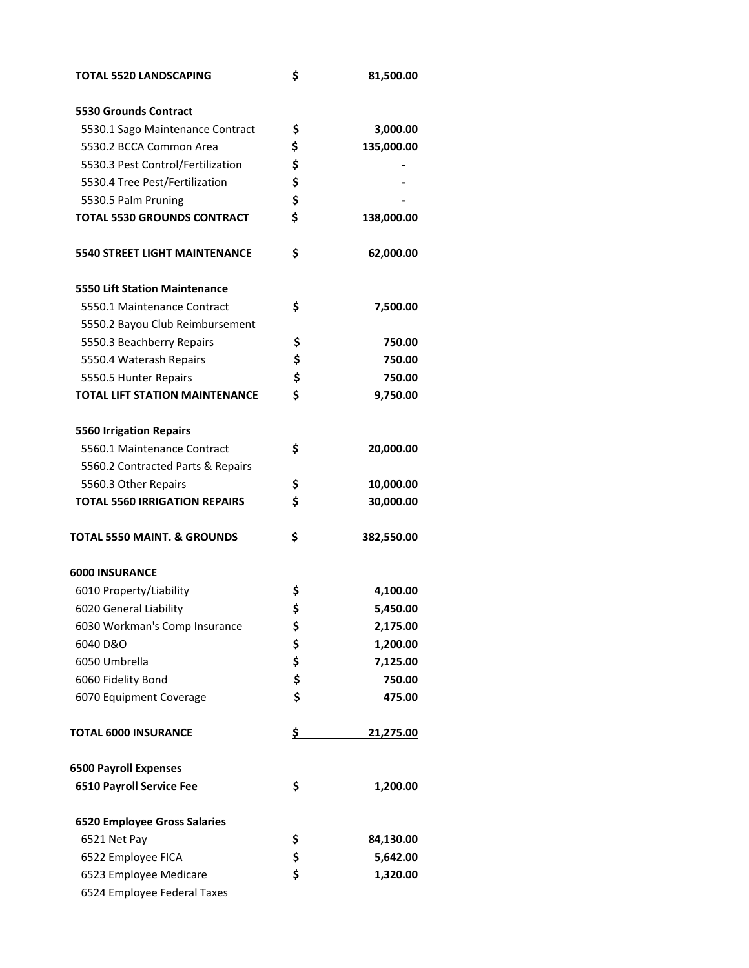| <b>TOTAL 5520 LANDSCAPING</b>          | \$<br>81,500.00  |
|----------------------------------------|------------------|
| <b>5530 Grounds Contract</b>           |                  |
| 5530.1 Sago Maintenance Contract       | \$<br>3,000.00   |
| 5530.2 BCCA Common Area                | \$<br>135,000.00 |
| 5530.3 Pest Control/Fertilization      | \$               |
| 5530.4 Tree Pest/Fertilization         | \$               |
| 5530.5 Palm Pruning                    | \$               |
| <b>TOTAL 5530 GROUNDS CONTRACT</b>     | \$<br>138,000.00 |
| <b>5540 STREET LIGHT MAINTENANCE</b>   | \$<br>62,000.00  |
| <b>5550 Lift Station Maintenance</b>   |                  |
| 5550.1 Maintenance Contract            | \$<br>7,500.00   |
| 5550.2 Bayou Club Reimbursement        |                  |
| 5550.3 Beachberry Repairs              | \$<br>750.00     |
| 5550.4 Waterash Repairs                | \$<br>750.00     |
| 5550.5 Hunter Repairs                  | \$<br>750.00     |
| <b>TOTAL LIFT STATION MAINTENANCE</b>  | \$<br>9,750.00   |
|                                        |                  |
| <b>5560 Irrigation Repairs</b>         |                  |
| 5560.1 Maintenance Contract            | \$<br>20,000.00  |
| 5560.2 Contracted Parts & Repairs      |                  |
| 5560.3 Other Repairs                   | \$<br>10,000.00  |
| <b>TOTAL 5560 IRRIGATION REPAIRS</b>   | \$<br>30,000.00  |
| <b>TOTAL 5550 MAINT. &amp; GROUNDS</b> | \$<br>382,550.00 |
| <b>6000 INSURANCE</b>                  |                  |
| 6010 Property/Liability                | \$<br>4,100.00   |
| 6020 General Liability                 | \$<br>5,450.00   |
| 6030 Workman's Comp Insurance          | \$<br>2,175.00   |
| 6040 D&O                               | \$<br>1,200.00   |
| 6050 Umbrella                          | \$<br>7,125.00   |
| 6060 Fidelity Bond                     | \$<br>750.00     |
| 6070 Equipment Coverage                | \$<br>475.00     |
| <b>TOTAL 6000 INSURANCE</b>            | \$<br>21,275.00  |
| <b>6500 Payroll Expenses</b>           |                  |
| <b>6510 Payroll Service Fee</b>        | \$<br>1,200.00   |
| <b>6520 Employee Gross Salaries</b>    |                  |
| 6521 Net Pay                           | \$<br>84,130.00  |
| 6522 Employee FICA                     | \$<br>5,642.00   |
| 6523 Employee Medicare                 | \$<br>1,320.00   |
| 6524 Employee Federal Taxes            |                  |